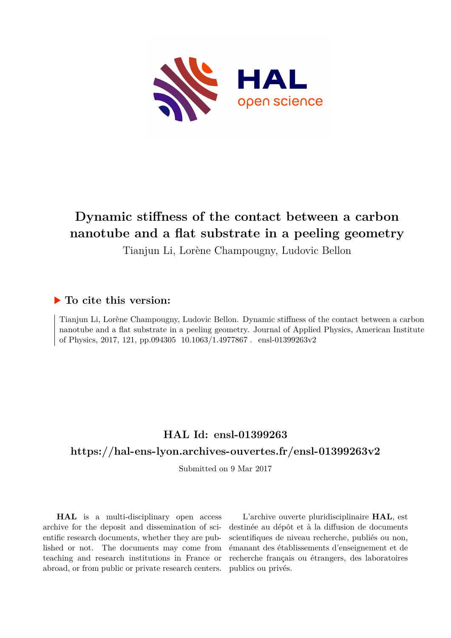

# **Dynamic stiffness of the contact between a carbon nanotube and a flat substrate in a peeling geometry**

Tianjun Li, Lorène Champougny, Ludovic Bellon

# **To cite this version:**

Tianjun Li, Lorène Champougny, Ludovic Bellon. Dynamic stiffness of the contact between a carbon nanotube and a flat substrate in a peeling geometry. Journal of Applied Physics, American Institute of Physics, 2017, 121, pp.094305  $10.1063/1.4977867$ . ensl-01399263v2

# **HAL Id: ensl-01399263 <https://hal-ens-lyon.archives-ouvertes.fr/ensl-01399263v2>**

Submitted on 9 Mar 2017

**HAL** is a multi-disciplinary open access archive for the deposit and dissemination of scientific research documents, whether they are published or not. The documents may come from teaching and research institutions in France or abroad, or from public or private research centers.

L'archive ouverte pluridisciplinaire **HAL**, est destinée au dépôt et à la diffusion de documents scientifiques de niveau recherche, publiés ou non, émanant des établissements d'enseignement et de recherche français ou étrangers, des laboratoires publics ou privés.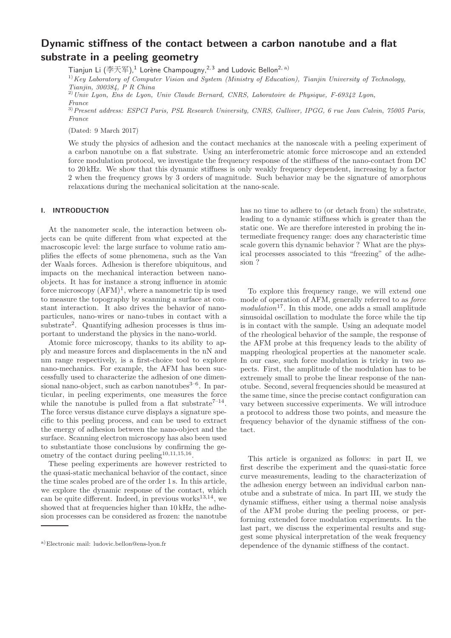# Dynamic stiffness of the contact between a carbon nanotube and a flat substrate in a peeling geometry

Tianjun Li  $(\overline{\text{2E}})$ ,<sup>1</sup> Lorène Champougny,<sup>2,3</sup> and Ludovic Bellon<sup>2, a)</sup>

<sup>1)</sup>Key Laboratory of Computer Vision and System (Ministry of Education), Tianjin University of Technology, Tianjin, 300384, P R China

 $^{2)}$ Univ Lyon, Ens de Lyon, Univ Claude Bernard, CNRS, Laboratoire de Physique, F-69342 Lyon, France

3)Present address: ESPCI Paris, PSL Research University, CNRS, Gulliver, IPGG, 6 rue Jean Calvin, 75005 Paris, France

(Dated: 9 March 2017)

We study the physics of adhesion and the contact mechanics at the nanoscale with a peeling experiment of a carbon nanotube on a flat substrate. Using an interferometric atomic force microscope and an extended force modulation protocol, we investigate the frequency response of the stiffness of the nano-contact from DC to 20 kHz. We show that this dynamic stiffness is only weakly frequency dependent, increasing by a factor 2 when the frequency grows by 3 orders of magnitude. Such behavior may be the signature of amorphous relaxations during the mechanical solicitation at the nano-scale.

## I. INTRODUCTION

At the nanometer scale, the interaction between objects can be quite different from what expected at the macroscopic level: the large surface to volume ratio amplifies the effects of some phenomena, such as the Van der Waals forces. Adhesion is therefore ubiquitous, and impacts on the mechanical interaction between nanoobjects. It has for instance a strong influence in atomic force microscopy  $(AFM)^1$ , where a nanometric tip is used to measure the topography by scanning a surface at constant interaction. It also drives the behavior of nanoparticules, nano-wires or nano-tubes in contact with a substrate<sup>2</sup> . Quantifying adhesion processes is thus important to understand the physics in the nano-world.

Atomic force microscopy, thanks to its ability to apply and measure forces and displacements in the nN and nm range respectively, is a first-choice tool to explore nano-mechanics. For example, the AFM has been successfully used to characterize the adhesion of one dimensional nano-object, such as carbon nanotubes $3-6$ . In particular, in peeling experiments, one measures the force while the nanotube is pulled from a flat substrate<sup> $7-14$ </sup>. The force versus distance curve displays a signature specific to this peeling process, and can be used to extract the energy of adhesion between the nano-object and the surface. Scanning electron microscopy has also been used to substantiate those conclusions by confirming the geometry of the contact during peeling<sup>10,11,15,16</sup>.

These peeling experiments are however restricted to the quasi-static mechanical behavior of the contact, since the time scales probed are of the order 1 s. In this article, we explore the dynamic response of the contact, which can be quite different. Indeed, in previous works $^{13,14}$ , we showed that at frequencies higher than 10 kHz, the adhesion processes can be considered as frozen: the nanotube

has no time to adhere to (or detach from) the substrate, leading to a dynamic stiffness which is greater than the static one. We are therefore interested in probing the intermediate frequency range: does any characteristic time scale govern this dynamic behavior ? What are the physical processes associated to this "freezing" of the adhesion ?

To explore this frequency range, we will extend one mode of operation of AFM, generally referred to as *force*  $modulation<sup>17</sup>$ . In this mode, one adds a small amplitude sinusoidal oscillation to modulate the force while the tip is in contact with the sample. Using an adequate model of the rheological behavior of the sample, the response of the AFM probe at this frequency leads to the ability of mapping rheological properties at the nanometer scale. In our case, such force modulation is tricky in two aspects. First, the amplitude of the modulation has to be extremely small to probe the linear response of the nanotube. Second, several frequencies should be measured at the same time, since the precise contact configuration can vary between successive experiments. We will introduce a protocol to address those two points, and measure the frequency behavior of the dynamic stiffness of the contact.

This article is organized as follows: in part II, we first describe the experiment and the quasi-static force curve measurements, leading to the characterization of the adhesion energy between an individual carbon nanotube and a substrate of mica. In part III, we study the dynamic stiffness, either using a thermal noise analysis of the AFM probe during the peeling process, or performing extended force modulation experiments. In the last part, we discuss the experimental results and suggest some physical interpretation of the weak frequency dependence of the dynamic stiffness of the contact.

a)Electronic mail: ludovic.bellon@ens-lyon.fr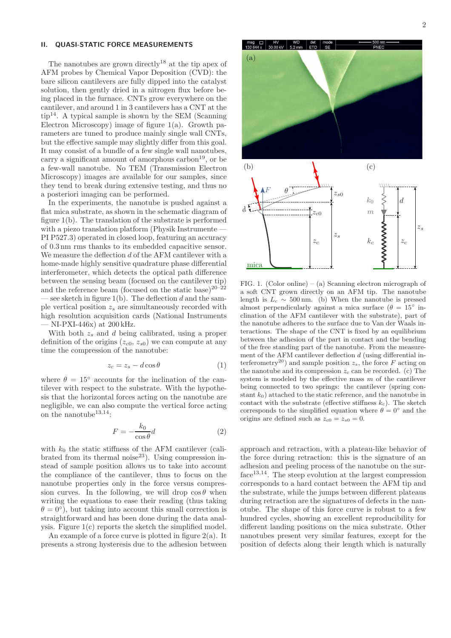## II. QUASI-STATIC FORCE MEASUREMENTS

The nanotubes are grown directly<sup>18</sup> at the tip apex of AFM probes by Chemical Vapor Deposition (CVD): the bare silicon cantilevers are fully dipped into the catalyst solution, then gently dried in a nitrogen flux before being placed in the furnace. CNTs grow everywhere on the cantilever, and around 1 in 3 cantilevers has a CNT at the  $tip^{14}$ . A typical sample is shown by the SEM (Scanning Electron Microscopy) image of figure 1(a). Growth parameters are tuned to produce mainly single wall CNTs, but the effective sample may slightly differ from this goal. It may consist of a bundle of a few single wall nanotubes, carry a significant amount of amorphous  $\text{carbon}^{19}$ , or be a few-wall nanotube. No TEM (Transmission Electron Microscopy) images are available for our samples, since they tend to break during extensive testing, and thus no a posteriori imaging can be performed.

In the experiments, the nanotube is pushed against a flat mica substrate, as shown in the schematic diagram of figure 1(b). The translation of the substrate is performed with a piezo translation platform (Physik Instrumente -PI P527.3) operated in closed loop, featuring an accuracy of 0.3 nm rms thanks to its embedded capacitive sensor. We measure the deflection d of the AFM cantilever with a home-made highly sensitive quadrature phase differential interferometer, which detects the optical path difference between the sensing beam (focused on the cantilever tip) and the reference beam (focused on the static base)<sup>20–22</sup> — see sketch in figure  $1(b)$ . The deflection d and the sample vertical position  $z_s$  are simultaneously recorded with high resolution acquisition cards (National Instruments — NI-PXI-446x) at 200 kHz.

With both  $z_s$  and d being calibrated, using a proper definition of the origins  $(z_{c0}, z_{s0})$  we can compute at any time the compression of the nanotube:

$$
z_c = z_s - d\cos\theta\tag{1}
$$

where  $\theta = 15^{\circ}$  accounts for the inclination of the cantilever with respect to the substrate. With the hypothesis that the horizontal forces acting on the nanotube are negligible, we can also compute the vertical force acting on the nanotube  $^{13,14}\!$  :

$$
F = -\frac{k_0}{\cos \theta} d \tag{2}
$$

with  $k_0$  the static stiffness of the AFM cantilever (calibrated from its thermal noise $^{23}$ ). Using compression instead of sample position allows us to take into account the compliance of the cantilever, thus to focus on the nanotube properties only in the force versus compression curves. In the following, we will drop  $\cos \theta$  when writing the equations to ease their reading (thus taking  $\theta = 0^{\circ}$ , but taking into account this small correction is straightforward and has been done during the data analysis. Figure 1(c) reports the sketch the simplified model.

An example of a force curve is plotted in figure 2(a). It presents a strong hysteresis due to the adhesion between



a soft CNT grown directly on an AFM tip. The nanotube length is  $L_c \sim 500 \text{ nm}$ . (b) When the nanotube is pressed almost perpendicularly against a mica surface  $(\theta = 15^{\circ})$  inclination of the AFM cantilever with the substrate), part of the nanotube adheres to the surface due to Van der Waals interactions. The shape of the CNT is fixed by an equilibrium between the adhesion of the part in contact and the bending of the free standing part of the nanotube. From the measurement of the AFM cantilever deflection  $d$  (using differential interferometry<sup>20</sup>) and sample position  $z_s$ , the force F acting on the nanotube and its compression  $z_c$  can be recorded. (c) The system is modeled by the effective mass  $m$  of the cantilever being connected to two springs: the cantilever (spring constant  $k_0$ ) attached to the static reference, and the nanotube in contact with the substrate (effective stiffness  $k_c$ ). The sketch corresponds to the simplified equation where  $\theta = 0^{\circ}$  and the origins are defined such as  $z_{c0} = z_{s0} = 0$ .

approach and retraction, with a plateau-like behavior of the force during retraction: this is the signature of an adhesion and peeling process of the nanotube on the surface<sup>13,14</sup>. The steep evolution at the largest compression corresponds to a hard contact between the AFM tip and the substrate, while the jumps between different plateaus during retraction are the signatures of defects in the nanotube. The shape of this force curve is robust to a few hundred cycles, showing an excellent reproducibility for different landing positions on the mica substrate. Other nanotubes present very similar features, except for the position of defects along their length which is naturally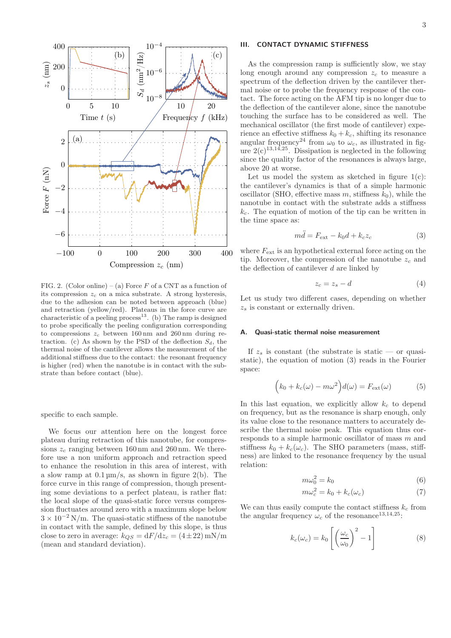

FIG. 2. (Color online) – (a) Force  $F$  of a CNT as a function of its compression  $z_c$  on a mica substrate. A strong hysteresis, due to the adhesion can be noted between approach (blue) and retraction (yellow/red). Plateaus in the force curve are characteristic of a peeling process<sup>13</sup>. (b) The ramp is designed to probe specifically the peeling configuration corresponding to compressions  $z_c$  between 160 nm and 260 nm during retraction. (c) As shown by the PSD of the deflection  $S_d$ , the thermal noise of the cantilever allows the measurement of the additional stiffness due to the contact: the resonant frequency is higher (red) when the nanotube is in contact with the substrate than before contact (blue).

specific to each sample.

We focus our attention here on the longest force plateau during retraction of this nanotube, for compressions  $z_c$  ranging between 160 nm and 260 nm. We therefore use a non uniform approach and retraction speed to enhance the resolution in this area of interest, with a slow ramp at  $0.1 \,\mathrm{\upmu m/s}$ , as shown in figure 2(b). The force curve in this range of compression, though presenting some deviations to a perfect plateau, is rather flat: the local slope of the quasi-static force versus compression fluctuates around zero with a maximum slope below  $3 \times 10^{-2}$  N/m. The quasi-static stiffness of the nanotube in contact with the sample, defined by this slope, is thus close to zero in average:  $k_{OS} = dF/dz_c = (4 \pm 22) \text{ mN/m}$ (mean and standard deviation).

## III. CONTACT DYNAMIC STIFFNESS

As the compression ramp is sufficiently slow, we stay long enough around any compression  $z_c$  to measure a spectrum of the deflection driven by the cantilever thermal noise or to probe the frequency response of the contact. The force acting on the AFM tip is no longer due to the deflection of the cantilever alone, since the nanotube touching the surface has to be considered as well. The mechanical oscillator (the first mode of cantilever) experience an effective stiffness  $k_0 + k_c$ , shifting its resonance angular frequency<sup>24</sup> from  $\omega_0$  to  $\omega_c$ , as illustrated in figure  $2(c)^{13,14,25}$ . Dissipation is neglected in the following since the quality factor of the resonances is always large, above 20 at worse.

Let us model the system as sketched in figure  $1(c)$ : the cantilever's dynamics is that of a simple harmonic oscillator (SHO, effective mass  $m$ , stiffness  $k_0$ ), while the nanotube in contact with the substrate adds a stiffness  $k_c$ . The equation of motion of the tip can be written in the time space as:

$$
m\ddot{d} = F_{\text{ext}} - k_0 d + k_c z_c \tag{3}
$$

where  $F_{\text{ext}}$  is an hypothetical external force acting on the tip. Moreover, the compression of the nanotube  $z_c$  and the deflection of cantilever  $d$  are linked by

$$
z_c = z_s - d \tag{4}
$$

Let us study two different cases, depending on whether  $z_s$  is constant or externally driven.

#### A. Quasi-static thermal noise measurement

If  $z_s$  is constant (the substrate is static — or quasistatic), the equation of motion (3) reads in the Fourier space:

$$
(k_0 + k_c(\omega) - m\omega^2)d(\omega) = F_{\text{ext}}(\omega)
$$
 (5)

In this last equation, we explicitly allow  $k_c$  to depend on frequency, but as the resonance is sharp enough, only its value close to the resonance matters to accurately describe the thermal noise peak. This equation thus corresponds to a simple harmonic oscillator of mass m and stiffness  $k_0 + k_c(\omega_c)$ . The SHO parameters (mass, stiffness) are linked to the resonance frequency by the usual relation:

$$
m\omega_0^2 = k_0 \tag{6}
$$

$$
m\omega_c^2 = k_0 + k_c(\omega_c) \tag{7}
$$

We can thus easily compute the contact stiffness  $k_c$  from the angular frequency  $\omega_c$  of the resonance<sup>13,14,25</sup>:

$$
k_c(\omega_c) = k_0 \left[ \left( \frac{\omega_c}{\omega_0} \right)^2 - 1 \right]
$$
 (8)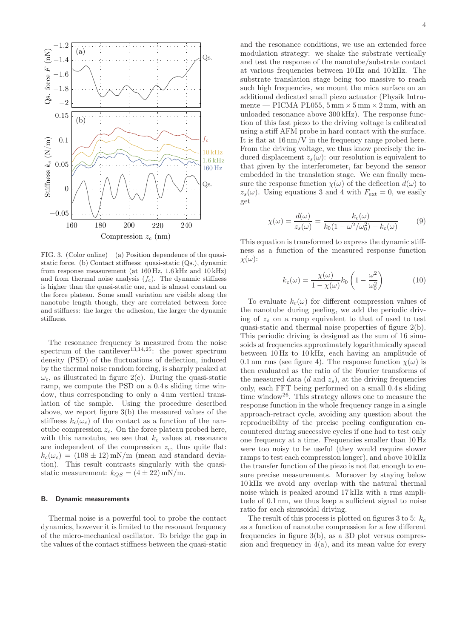

FIG. 3. (Color online) – (a) Position dependence of the quasistatic force. (b) Contact stiffness: quasi-static (Qs.), dynamic from response measurement (at 160 Hz, 1.6 kHz and 10 kHz) and from thermal noise analysis  $(f_c)$ . The dynamic stiffness is higher than the quasi-static one, and is almost constant on the force plateau. Some small variation are visible along the nanotube length though, they are correlated between force and stiffness: the larger the adhesion, the larger the dynamic stiffness.

The resonance frequency is measured from the noise spectrum of the cantilever<sup>13,14,25</sup>: the power spectrum density (PSD) of the fluctuations of deflection, induced by the thermal noise random forcing, is sharply peaked at  $\omega_c$ , as illustrated in figure 2(c). During the quasi-static ramp, we compute the PSD on a 0.4 s sliding time window, thus corresponding to only a 4 nm vertical translation of the sample. Using the procedure described above, we report figure 3(b) the measured values of the stiffness  $k_c(\omega_c)$  of the contact as a function of the nanotube compression  $z_c$ . On the force plateau probed here, with this nanotube, we see that  $k_c$  values at resonance are independent of the compression  $z_c$ , thus quite flat:  $k_c(\omega_c) = (108 \pm 12) \,\text{mN/m}$  (mean and standard deviation). This result contrasts singularly with the quasistatic measurement:  $k_{QS} = (4 \pm 22)$  mN/m.

#### B. Dynamic measurements

Thermal noise is a powerful tool to probe the contact dynamics, however it is limited to the resonant frequency of the micro-mechanical oscillator. To bridge the gap in the values of the contact stiffness between the quasi-static and the resonance conditions, we use an extended force modulation strategy: we shake the substrate vertically and test the response of the nanotube/substrate contact at various frequencies between 10 Hz and 10 kHz. The substrate translation stage being too massive to reach such high frequencies, we mount the mica surface on an additional dedicated small piezo actuator (Physik Intrumente — PICMA PL055,  $5 \text{ mm} \times 5 \text{ mm} \times 2 \text{ mm}$ , with an unloaded resonance above 300 kHz). The response function of this fast piezo to the driving voltage is calibrated using a stiff AFM probe in hard contact with the surface. It is flat at 16 nm/V in the frequency range probed here. From the driving voltage, we thus know precisely the induced displacement  $z_s(\omega)$ : our resolution is equivalent to that given by the interferometer, far beyond the sensor embedded in the translation stage. We can finally measure the response function  $\chi(\omega)$  of the deflection  $d(\omega)$  to  $z_s(\omega)$ . Using equations 3 and 4 with  $F_{\text{ext}} = 0$ , we easily get

$$
\chi(\omega) = \frac{d(\omega)}{z_s(\omega)} = \frac{k_c(\omega)}{k_0(1 - \omega^2/\omega_0^2) + k_c(\omega)}\tag{9}
$$

This equation is transformed to express the dynamic stiffness as a function of the measured response function  $\chi(\omega)$ :

$$
k_c(\omega) = \frac{\chi(\omega)}{1 - \chi(\omega)} k_0 \left(1 - \frac{\omega^2}{\omega_0^2}\right) \tag{10}
$$

To evaluate  $k_c(\omega)$  for different compression values of the nanotube during peeling, we add the periodic driving of  $z_s$  on a ramp equivalent to that of used to test quasi-static and thermal noise properties of figure 2(b). This periodic driving is designed as the sum of 16 sinusoids at frequencies approximately logarithmically spaced between 10 Hz to 10 kHz, each having an amplitude of 0.1 nm rms (see figure 4). The response function  $\chi(\omega)$  is then evaluated as the ratio of the Fourier transforms of the measured data  $(d \text{ and } z_s)$ , at the driving frequencies only, each FFT being performed on a small 0.4 s sliding time window<sup>26</sup>. This strategy allows one to measure the response function in the whole frequency range in a single approach-retract cycle, avoiding any question about the reproducibility of the precise peeling configuration encountered during successive cycles if one had to test only one frequency at a time. Frequencies smaller than 10 Hz were too noisy to be useful (they would require slower ramps to test each compression longer), and above 10 kHz the transfer function of the piezo is not flat enough to ensure precise measurements. Moreover by staying below 10 kHz we avoid any overlap with the natural thermal noise which is peaked around 17 kHz with a rms amplitude of 0.1 nm, we thus keep a sufficient signal to noise ratio for each sinusoidal driving.

The result of this process is plotted on figures 3 to 5:  $k_c$ as a function of nanotube compression for a few different frequencies in figure  $3(b)$ , as a 3D plot versus compression and frequency in  $4(a)$ , and its mean value for every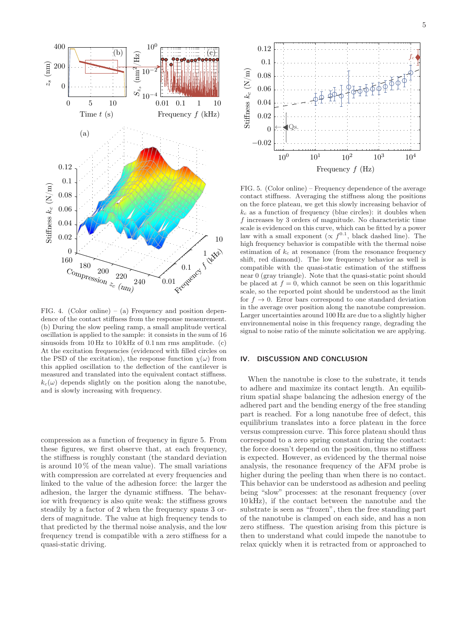

FIG. 4. (Color online) – (a) Frequency and position dependence of the contact stiffness from the response measurement. (b) During the slow peeling ramp, a small amplitude vertical oscillation is applied to the sample: it consists in the sum of 16 sinusoids from 10 Hz to 10 kHz of 0.1 nm rms amplitude. (c) At the excitation frequencies (evidenced with filled circles on the PSD of the excitation), the response function  $\chi(\omega)$  from this applied oscillation to the deflection of the cantilever is measured and translated into the equivalent contact stiffness.  $k_c(\omega)$  depends slightly on the position along the nanotube, and is slowly increasing with frequency.

compression as a function of frequency in figure 5. From these figures, we first observe that, at each frequency, the stiffness is roughly constant (the standard deviation is around  $10\%$  of the mean value). The small variations with compression are correlated at every frequencies and linked to the value of the adhesion force: the larger the adhesion, the larger the dynamic stiffness. The behavior with frequency is also quite weak: the stiffness grows steadily by a factor of 2 when the frequency spans 3 orders of magnitude. The value at high frequency tends to that predicted by the thermal noise analysis, and the low frequency trend is compatible with a zero stiffness for a quasi-static driving.



FIG. 5. (Color online) – Frequency dependence of the average contact stiffness. Averaging the stiffness along the positions on the force plateau, we get this slowly increasing behavior of  $k_c$  as a function of frequency (blue circles): it doubles when f increases by 3 orders of magnitude. No characteristic time scale is evidenced on this curve, which can be fitted by a power law with a small exponent  $(\propto f^{0.1})$ , black dashed line). The high frequency behavior is compatible with the thermal noise estimation of  $k_c$  at resonance (from the resonance frequency shift, red diamond). The low frequency behavior as well is compatible with the quasi-static estimation of the stiffness near 0 (gray triangle). Note that the quasi-static point should be placed at  $f = 0$ , which cannot be seen on this logarithmic scale, so the reported point should be understood as the limit for  $f \to 0$ . Error bars correspond to one standard deviation in the average over position along the nanotube compression. Larger uncertainties around 100 Hz are due to a slightly higher environnemental noise in this frequency range, degrading the signal to noise ratio of the minute solicitation we are applying.

#### IV. DISCUSSION AND CONCLUSION

When the nanotube is close to the substrate, it tends to adhere and maximize its contact length. An equilibrium spatial shape balancing the adhesion energy of the adhered part and the bending energy of the free standing part is reached. For a long nanotube free of defect, this equilibrium translates into a force plateau in the force versus compression curve. This force plateau should thus correspond to a zero spring constant during the contact: the force doesn't depend on the position, thus no stiffness is expected. However, as evidenced by the thermal noise analysis, the resonance frequency of the AFM probe is higher during the peeling than when there is no contact. This behavior can be understood as adhesion and peeling being "slow" processes: at the resonant frequency (over 10 kHz), if the contact between the nanotube and the substrate is seen as "frozen", then the free standing part of the nanotube is clamped on each side, and has a non zero stiffness. The question arising from this picture is then to understand what could impede the nanotube to relax quickly when it is retracted from or approached to